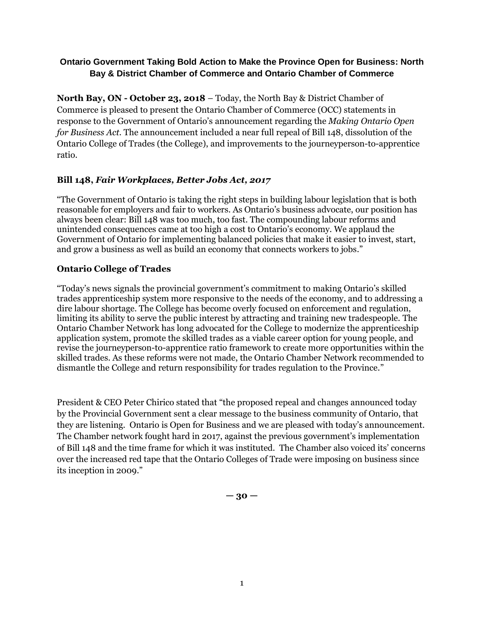## **Ontario Government Taking Bold Action to Make the Province Open for Business: North Bay & District Chamber of Commerce and Ontario Chamber of Commerce**

**North Bay, ON - October 23, 2018** – Today, the North Bay & District Chamber of Commerce is pleased to present the Ontario Chamber of Commerce (OCC) statements in response to the Government of Ontario's announcement regarding the *Making Ontario Open for Business Act*. The announcement included a near full repeal of Bill 148, dissolution of the Ontario College of Trades (the College), and improvements to the journeyperson-to-apprentice ratio.

## **Bill 148,** *Fair Workplaces, Better Jobs Act, 2017*

"The Government of Ontario is taking the right steps in building labour legislation that is both reasonable for employers and fair to workers. As Ontario's business advocate, our position has always been clear: Bill 148 was too much, too fast. The compounding labour reforms and unintended consequences came at too high a cost to Ontario's economy. We applaud the Government of Ontario for implementing balanced policies that make it easier to invest, start, and grow a business as well as build an economy that connects workers to jobs."

### **Ontario College of Trades**

"Today's news signals the provincial government's commitment to making Ontario's skilled trades apprenticeship system more responsive to the needs of the economy, and to addressing a dire labour shortage. The College has become overly focused on enforcement and regulation, limiting its ability to serve the public interest by attracting and training new tradespeople. The Ontario Chamber Network has long advocated for the College to modernize the apprenticeship application system, promote the skilled trades as a viable career option for young people, and revise the journeyperson-to-apprentice ratio framework to create more opportunities within the skilled trades. As these reforms were not made, the Ontario Chamber Network recommended to dismantle the College and return responsibility for trades regulation to the Province."

President & CEO Peter Chirico stated that "the proposed repeal and changes announced today by the Provincial Government sent a clear message to the business community of Ontario, that they are listening. Ontario is Open for Business and we are pleased with today's announcement. The Chamber network fought hard in 2017, against the previous government's implementation of Bill 148 and the time frame for which it was instituted. The Chamber also voiced its' concerns over the increased red tape that the Ontario Colleges of Trade were imposing on business since its inception in 2009."

 $-30 -$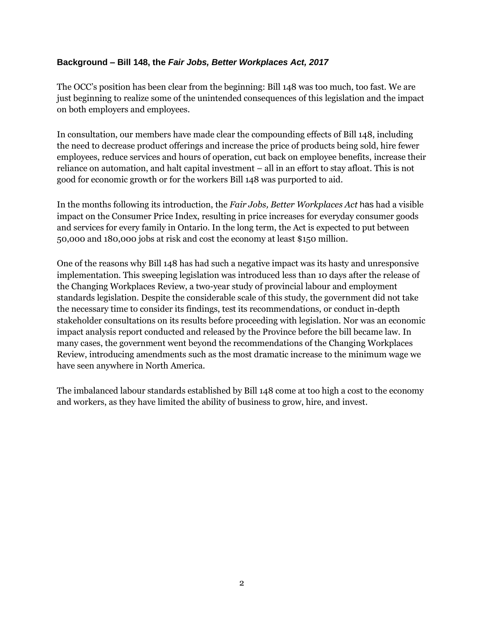### **Background – Bill 148, the** *Fair Jobs, Better Workplaces Act, 2017*

The OCC's position has been clear from the beginning: Bill 148 was too much, too fast. We are just beginning to realize some of the unintended consequences of this legislation and the impact on both employers and employees.

In consultation, our members have made clear the compounding effects of Bill 148, including the need to decrease product offerings and increase the price of products being sold, hire fewer employees, reduce services and hours of operation, cut back on employee benefits, increase their reliance on automation, and halt capital investment – all in an effort to stay afloat. This is not good for economic growth or for the workers Bill 148 was purported to aid.

In the months following its introduction, the *Fair Jobs, Better Workplaces Act* has had a visible impact on the Consumer Price Index, resulting in price increases for everyday consumer goods and services for every family in Ontario. In the long term, the Act is expected to put between 50,000 and 180,000 jobs at risk and cost the economy at least \$150 million.

One of the reasons why Bill 148 has had such a negative impact was its hasty and unresponsive implementation. This sweeping legislation was introduced less than 10 days after the release of the Changing Workplaces Review, a two-year study of provincial labour and employment standards legislation. Despite the considerable scale of this study, the government did not take the necessary time to consider its findings, test its recommendations, or conduct in-depth stakeholder consultations on its results before proceeding with legislation. Nor was an economic impact analysis report conducted and released by the Province before the bill became law. In many cases, the government went beyond the recommendations of the Changing Workplaces Review, introducing amendments such as the most dramatic increase to the minimum wage we have seen anywhere in North America.

The imbalanced labour standards established by Bill 148 come at too high a cost to the economy and workers, as they have limited the ability of business to grow, hire, and invest.